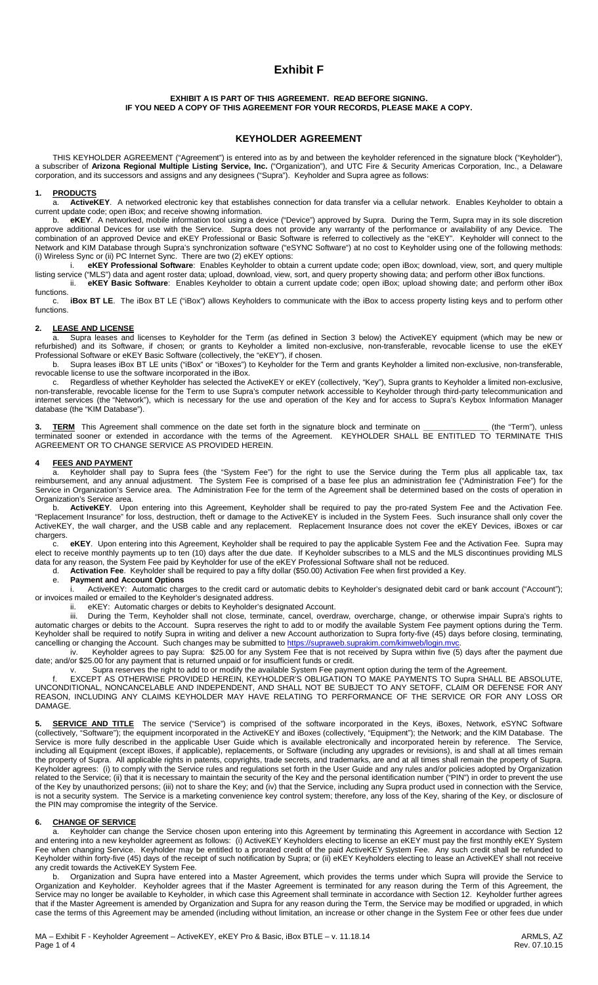# **Exhibit F**

#### **EXHIBIT A IS PART OF THIS AGREEMENT. READ BEFORE SIGNING. IF YOU NEED A COPY OF THIS AGREEMENT FOR YOUR RECORDS, PLEASE MAKE A COPY.**

# **KEYHOLDER AGREEMENT**

THIS KEYHOLDER AGREEMENT ("Agreement") is entered into as by and between the keyholder referenced in the signature block ("Keyholder"), a subscriber of **Arizona Regional Multiple Listing Service, Inc.** ("Organization"), and UTC Fire & Security Americas Corporation, Inc., a Delaware corporation, and its successors and assigns and any designees ("Supra"). Keyholder and Supra agree as follows:

#### **1. PRODUCTS**

a. **ActiveKEY**. A networked electronic key that establishes connection for data transfer via a cellular network. Enables Keyholder to obtain a current update code; open iBox; and receive showing information.

b. **eKEY**. A networked, mobile information tool using a device ("Device") approved by Supra. During the Term, Supra may in its sole discretion approve additional Devices for use with the Service. Supra does not provide any warranty of the performance or availability of any Device. The combination of an approved Device and eKEY Professional or Basic Software is referred to collectively as the "eKEY". Keyholder will connect to the Network and KIM Database through Supra's synchronization software ("eSYNC Software") at no cost to Keyholder using one of the following methods: (i) Wireless Sync or (ii) PC Internet Sync. There are two (2) eKEY options:

eKEY Professional Software: Enables Keyholder to obtain a current update code; open iBox; download, view, sort, and query multiple listing service ("MLS") data and agent roster data; upload, download, view, sort, and query property showing data; and perform other iBox functions. ii. **eKEY Basic Software**: Enables Keyholder to obtain a current update code; open iBox; upload showing date; and perform other iBox

functions.<br>c. iBox BT LE. The iBox BT LE ("iBox") allows Keyholders to communicate with the iBox to access property listing keys and to perform other functions.

#### **2. LEASE AND LICENSE**

a. Supra leases and licenses to Keyholder for the Term (as defined in Section 3 below) the ActiveKEY equipment (which may be new or refurbished) and its Software, if chosen; or grants to Keyholder a limited non-exclusive, non-transferable, revocable license to use the eKEY Professional Software or eKEY Basic Software (collectively, the "eKEY"), if chosen.

Supra leases iBox BT LE units ("iBox" or "iBoxes") to Keyholder for the Term and grants Keyholder a limited non-exclusive, non-transferable, revocable license to use the software incorporated in the iBox.

c. Regardless of whether Keyholder has selected the ActiveKEY or eKEY (collectively, "Key"), Supra grants to Keyholder a limited non-exclusive, non-transferable, revocable license for the Term to use Supra's computer network accessible to Keyholder through third-party telecommunication and internet services (the "Network"), which is necessary for the use and operation of the Key and for access to Supra's Keybox Information Manager database (the "KIM Database").

**3. TERM** This Agreement shall commence on the date set forth in the signature block and terminate on **\_\_\_\_\_\_\_\_\_\_\_\_\_\_\_** (the "Term"), unless terminated sooner or extended in accordance with the terms of the Agreement. KEYHOLDER SHALL BE ENTITLED TO TERMINATE THIS AGREEMENT OR TO CHANGE SERVICE AS PROVIDED HEREIN.

#### **4 FEES AND PAYMENT**

a. Keyholder shall pay to Supra fees (the "System Fee") for the right to use the Service during the Term plus all applicable tax, tax reimbursement, and any annual adjustment. The System Fee is comprised of a base fee plus an administration fee ("Administration Fee") for the Service in Organization's Service area. The Administration Fee for the term of the Agreement shall be determined based on the costs of operation in Organization's Service area.

b. **ActiveKEY**. Upon entering into this Agreement, Keyholder shall be required to pay the pro-rated System Fee and the Activation Fee. "Replacement Insurance" for loss, destruction, theft or damage to the ActiveKEY is included in the System Fees. Such insurance shall only cover the ActiveKEY, the wall charger, and the USB cable and any replacement. Replacement Insurance does not cover the eKEY Devices, iBoxes or car chargers.

c. **eKEY**.Upon entering into this Agreement, Keyholder shall be required to pay the applicable System Fee and the Activation Fee. Supra may elect to receive monthly payments up to ten (10) days after the due date. If Keyholder subscribes to a MLS and the MLS discontinues providing MLS data for any reason, the System Fee paid by Keyholder for use of the eKEY Professional Software shall not be reduced.

d. **Activation Fee**. Keyholder shall be required to pay a fifty dollar (\$50.00) Activation Fee when first provided a Key.

#### e. **Payment and Account Options**

i. ActiveKEY: Automatic charges to the credit card or automatic debits to Keyholder's designated debit card or bank account ("Account"); or invoices mailed or emailed to the Keyholder's designated address.

ii. eKEY: Automatic charges or debits to Keyholder's designated Account.<br>iii. During the Term. Keyholder shall not close, terminate, cancel, overd

During the Term, Keyholder shall not close, terminate, cancel, overdraw, overcharge, change, or otherwise impair Supra's rights to automatic charges or debits to the Account. Supra reserves the right to add to or modify the available System Fee payment options during the Term. Keyholder shall be required to notify Supra in writing and deliver a new Account authorization to Supra forty-five (45) days before closing, terminating, cancelling or changing the Account. Such changes may be submitted to [https://supraweb.suprakim.com/kimweb/login.mvc.](https://supraweb.suprakim.com/kimweb/login.mvc)

iv. Keyholder agrees to pay Supra: \$25.00 for any System Fee that is not received by Supra within five (5) days after the payment due date; and/or \$25.00 for any payment that is returned unpaid or for insufficient funds or credit.

Supra reserves the right to add to or modify the available System Fee payment option during the term of the Agreement.

f. EXCEPT AS OTHERWISE PROVIDED HEREIN, KEYHOLDER'S OBLIGATION TO MAKE PAYMENTS TO Supra SHALL BE ABSOLUTE, UNCONDITIONAL, NONCANCELABLE AND INDEPENDENT, AND SHALL NOT BE SUBJECT TO ANY SETOFF, CLAIM OR DEFENSE FOR ANY REASON, INCLUDING ANY CLAIMS KEYHOLDER MAY HAVE RELATING TO PERFORMANCE OF THE SERVICE OR FOR ANY LOSS OR DAMAGE.

5. **SERVICE AND TITLE** The service ("Service") is comprised of the software incorporated in the Keys, iBoxes, Network, eSYNC Software (collectively, "Software"); the equipment incorporated in the ActiveKEY and iBoxes (collectively, "Equipment"); the Network; and the KIM Database. The Service is more fully described in the applicable User Guide which is available electronically and incorporated herein by reference. The Service, including all Equipment (except iBoxes, if applicable), replacements, or Software (including any upgrades or revisions), is and shall at all times remain the property of Supra. All applicable rights in patents, copyrights, trade secrets, and trademarks, are and at all times shall remain the property of Supra. Keyholder agrees: (i) to comply with the Service rules and regulations set forth in the User Guide and any rules and/or policies adopted by Organization related to the Service; (ii) that it is necessary to maintain the security of the Key and the personal identification number ("PIN") in order to prevent the use of the Key by unauthorized persons; (iii) not to share the Key; and (iv) that the Service, including any Supra product used in connection with the Service, is not a security system. The Service is a marketing convenience key control system; therefore, any loss of the Key, sharing of the Key, or disclosure of the PIN may compromise the integrity of the Service.

#### **6. CHANGE OF SERVICE**

a. Keyholder can change the Service chosen upon entering into this Agreement by terminating this Agreement in accordance with Section 12 and entering into a new keyholder agreement as follows: (i) ActiveKEY Keyholders electing to license an eKEY must pay the first monthly eKEY System Fee when changing Service. Keyholder may be entitled to a prorated credit of the paid ActiveKEY System Fee. Any such credit shall be refunded to Keyholder within forty-five (45) days of the receipt of such notification by Supra; or (ii) eKEY Keyholders electing to lease an ActiveKEY shall not receive any credit towards the ActiveKEY System Fee.

b. Organization and Supra have entered into a Master Agreement, which provides the terms under which Supra will provide the Service to Organization and Keyholder. Keyholder agrees that if the Master Agreement is terminated for any reason during the Term of this Agreement, the Service may no longer be available to Keyholder, in which case this Agreement shall terminate in accordance with Section 12. Keyholder further agrees that if the Master Agreement is amended by Organization and Supra for any reason during the Term, the Service may be modified or upgraded, in which case the terms of this Agreement may be amended (including without limitation, an increase or other change in the System Fee or other fees due under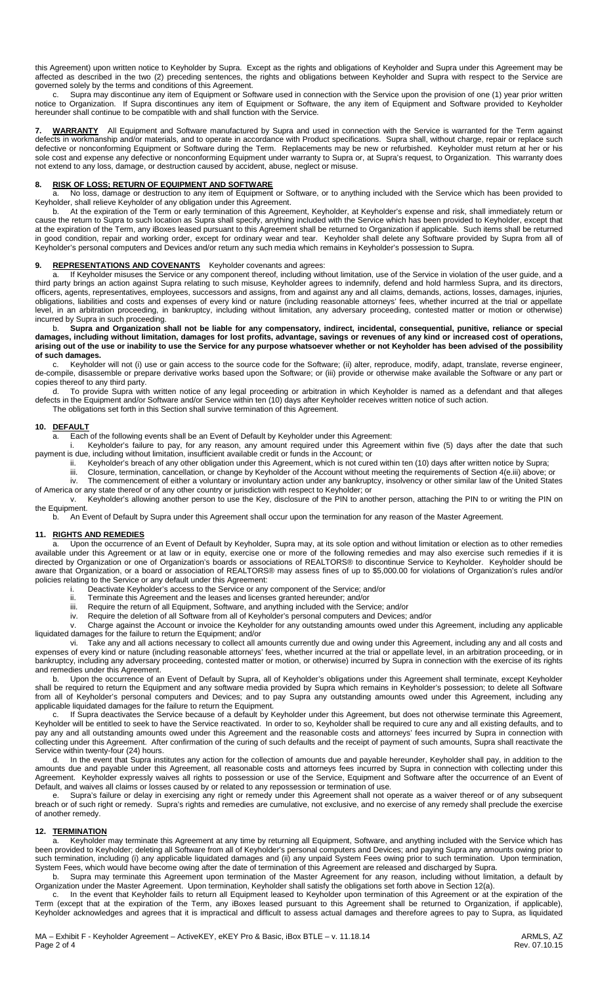this Agreement) upon written notice to Keyholder by Supra. Except as the rights and obligations of Keyholder and Supra under this Agreement may be affected as described in the two (2) preceding sentences, the rights and obligations between Keyholder and Supra with respect to the Service are governed solely by the terms and conditions of this Agreement.<br>
c. Supra may discontinue any item of Equipment or Sole

Supra may discontinue any item of Equipment or Software used in connection with the Service upon the provision of one (1) year prior written notice to Organization. If Supra discontinues any item of Equipment or Software, the any item of Equipment and Software provided to Keyholder hereunder shall continue to be compatible with and shall function with the Service.

**7. WARRANTY** All Equipment and Software manufactured by Supra and used in connection with the Service is warranted for the Term against defects in workmanship and/or materials, and to operate in accordance with Product specifications. Supra shall, without charge, repair or replace such defective or nonconforming Equipment or Software during the Term. Replacements may be new or refurbished. Keyholder must return at her or his sole cost and expense any defective or nonconforming Equipment under warranty to Supra or, at Supra's request, to Organization. This warranty does not extend to any loss, damage, or destruction caused by accident, abuse, neglect or misuse.

### **8. RISK OF LOSS; RETURN OF EQUIPMENT AND SOFTWARE**

No loss, damage or destruction to any item of Equipment or Software, or to anything included with the Service which has been provided to Keyholder, shall relieve Keyholder of any obligation under this Agreement.

b. At the expiration of the Term or early termination of this Agreement, Keyholder, at Keyholder's expense and risk, shall immediately return or cause the return to Supra to such location as Supra shall specify, anything included with the Service which has been provided to Keyholder, except that at the expiration of the Term, any iBoxes leased pursuant to this Agreement shall be returned to Organization if applicable. Such items shall be returned in good condition, repair and working order, except for ordinary wear and tear. Keyholder shall delete any Software provided by Supra from all of Keyholder's personal computers and Devices and/or return any such media which remains in Keyholder's possession to Supra.

# **9. REPRESENTATIONS AND COVENANTS** Keyholder covenants and agrees:

If Keyholder misuses the Service or any component thereof, including without limitation, use of the Service in violation of the user guide, and a third party brings an action against Supra relating to such misuse, Keyholder agrees to indemnify, defend and hold harmless Supra, and its directors, officers, agents, representatives, employees, successors and assigns, from and against any and all claims, demands, actions, losses, damages, injuries, obligations, liabilities and costs and expenses of every kind or nature (including reasonable attorneys' fees, whether incurred at the trial or appellate level, in an arbitration proceeding, in bankruptcy, including without limitation, any adversary proceeding, contested matter or motion or otherwise) incurred by Supra in such proceeding.

## b. **Supra and Organization shall not be liable for any compensatory, indirect, incidental, consequential, punitive, reliance or special damages, including without limitation, damages for lost profits, advantage, savings or revenues of any kind or increased cost of operations, arising out of the use or inability to use the Service for any purpose whatsoever whether or not Keyholder has been advised of the possibility of such damages.**<br>**c.** Keyholde

Keyholder will not (i) use or gain access to the source code for the Software; (ii) alter, reproduce, modify, adapt, translate, reverse engineer, de-compile, disassemble or prepare derivative works based upon the Software; or (iii) provide or otherwise make available the Software or any part or copies thereof to any third party.

d. To provide Supra with written notice of any legal proceeding or arbitration in which Keyholder is named as a defendant and that alleges defects in the Equipment and/or Software and/or Service within ten (10) days after Keyholder receives written notice of such action. The obligations set forth in this Section shall survive termination of this Agreement.

#### **10. DEFAULT**

a. Each of the following events shall be an Event of Default by Keyholder under this Agreement:

i. Keyholder's failure to pay, for any reason, any amount required under this Agreement within five (5) days after the date that such payment is due, including without limitation, insufficient available credit or funds in the Account; or

- ii. Keyholder's breach of any other obligation under this Agreement, which is not cured within ten (10) days after written notice by Supra;
	- iii. Closure, termination, cancellation, or change by Keyholder of the Account without meeting the requirements of Section 4(e.iii) above; or

iv. The commencement of either a voluntary or involuntary action under any bankruptcy, insolvency or other similar law of the United States of America or any state thereof or of any other country or jurisdiction with respect to Keyholder; or

v. Keyholder's allowing another person to use the Key, disclosure of the PIN to another person, attaching the PIN to or writing the PIN on the Equipment.

b. An Event of Default by Supra under this Agreement shall occur upon the termination for any reason of the Master Agreement.

#### **11. RIGHTS AND REMEDIES**

Upon the occurrence of an Event of Default by Keyholder, Supra may, at its sole option and without limitation or election as to other remedies available under this Agreement or at law or in equity, exercise one or more of the following remedies and may also exercise such remedies if it is directed by Organization or one of Organization's boards or associations of REALTORS® to discontinue Service to Keyholder. Keyholder should be aware that Organization, or a board or association of REALTORS® may assess fines of up to \$5,000.00 for violations of Organization's rules and/or policies relating to the Service or any default under this Agreement:

- i. Deactivate Keyholder's access to the Service or any component of the Service; and/or
- ii. Terminate this Agreement and the leases and licenses granted hereunder; and/or
- iii. Require the return of all Equipment, Software, and anything included with the Service; and/or<br>iv. Require the deletion of all Software from all of Kevholder's personal computers and Devices;
- Require the deletion of all Software from all of Keyholder's personal computers and Devices; and/or

v. Charge against the Account or invoice the Keyholder for any outstanding amounts owed under this Agreement, including any applicable liquidated damages for the failure to return the Equipment; and/or

vi. Take any and all actions necessary to collect all amounts currently due and owing under this Agreement, including any and all costs and expenses of every kind or nature (including reasonable attorneys' fees, whether incurred at the trial or appellate level, in an arbitration proceeding, or in bankruptcy, including any adversary proceeding, contested matter or motion, or otherwise) incurred by Supra in connection with the exercise of its rights and remedies under this Agreement.

Upon the occurrence of an Event of Default by Supra, all of Keyholder's obligations under this Agreement shall terminate, except Keyholder shall be required to return the Equipment and any software media provided by Supra which remains in Keyholder's possession; to delete all Software from all of Keyholder's personal computers and Devices; and to pay Supra any outstanding amounts owed under this Agreement, including any applicable liquidated damages for the failure to return the Equipment.

c. If Supra deactivates the Service because of a default by Keyholder under this Agreement, but does not otherwise terminate this Agreement, Keyholder will be entitled to seek to have the Service reactivated. In order to so, Keyholder shall be required to cure any and all existing defaults, and to pay any and all outstanding amounts owed under this Agreement and the reasonable costs and attorneys' fees incurred by Supra in connection with collecting under this Agreement. After confirmation of the curing of such defaults and the receipt of payment of such amounts, Supra shall reactivate the Service within twenty-four (24) hours.

d. In the event that Supra institutes any action for the collection of amounts due and payable hereunder, Keyholder shall pay, in addition to the amounts due and payable under this Agreement, all reasonable costs and attorneys fees incurred by Supra in connection with collecting under this Agreement. Keyholder expressly waives all rights to possession or use of the Service, Equipment and Software after the occurrence of an Event of Default, and waives all claims or losses caused by or related to any repossession or termination of use.

e. Supra's failure or delay in exercising any right or remedy under this Agreement shall not operate as a waiver thereof or of any subsequent breach or of such right or remedy. Supra's rights and remedies are cumulative, not exclusive, and no exercise of any remedy shall preclude the exercise of another remedy.

#### **12. TERMINATION**

a. Keyholder may terminate this Agreement at any time by returning all Equipment, Software, and anything included with the Service which has been provided to Keyholder; deleting all Software from all of Keyholder's personal computers and Devices; and paying Supra any amounts owing prior to such termination, including (i) any applicable liquidated damages and (ii) any unpaid System Fees owing prior to such termination. Upon termination, System Fees, which would have become owing after the date of termination of this Agreement are released and discharged by Supra.

b. Supra may terminate this Agreement upon termination of the Master Agreement for any reason, including without limitation, a default by Organization under the Master Agreement. Upon termination, Keyholder shall satisfy the obligations set forth above in Section 12(a).

c. In the event that Keyholder fails to return all Equipment leased to Keyholder upon termination of this Agreement or at the expiration of the Term (except that at the expiration of the Term, any iBoxes leased pursuant to this Agreement shall be returned to Organization, if applicable), Keyholder acknowledges and agrees that it is impractical and difficult to assess actual damages and therefore agrees to pay to Supra, as liquidated